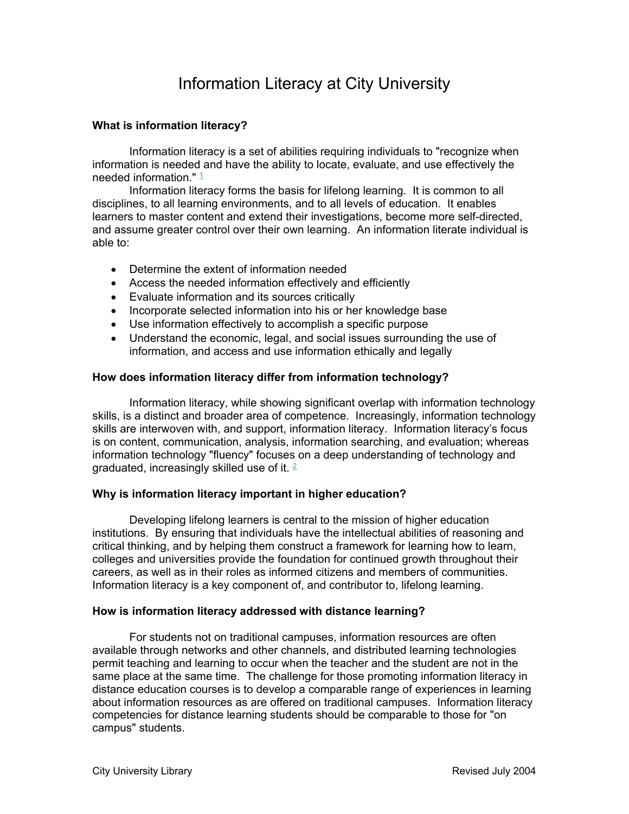# Information Literacy at City University

# **What is information literacy?**

 Information literacy is a set of abilities requiring individuals to "recognize when information is needed and have the ability to locate, evaluate, and use effectively the needed information  $" 1"$ 

 Information literacy forms the basis for lifelong learning. It is common to all disciplines, to all learning environments, and to all levels of education. It enables learners to master content and extend their investigations, become more self-directed, and assume greater control over their own learning. An information literate individual is able to:

- Determine the extent of information needed
- Access the needed information effectively and efficiently
- Evaluate information and its sources critically
- Incorporate selected information into his or her knowledge base
- Use information effectively to accomplish a specific purpose
- Understand the economic, legal, and social issues surrounding the use of information, and access and use information ethically and legally

# **How does information literacy differ from information technology?**

 Information literacy, while showing significant overlap with information technology skills, is a distinct and broader area of competence. Increasingly, information technology skills are interwoven with, and support, information literacy. Information literacy's focus is on content, communication, analysis, information searching, and evaluation; whereas information technology "fluency" focuses on a deep understanding of technology and graduated, increasingly skilled use of it.  $2 \overline{ }$ 

# **Why is information literacy important in higher education?**

Developing lifelong learners is central to the mission of higher education institutions. By ensuring that individuals have the intellectual abilities of reasoning and critical thinking, and by helping them construct a framework for learning how to learn, colleges and universities provide the foundation for continued growth throughout their careers, as well as in their roles as informed citizens and members of communities. Information literacy is a key component of, and contributor to, lifelong learning.

# **How is information literacy addressed with distance learning?**

 For students not on traditional campuses, information resources are often available through networks and other channels, and distributed learning technologies permit teaching and learning to occur when the teacher and the student are not in the same place at the same time. The challenge for those promoting information literacy in distance education courses is to develop a comparable range of experiences in learning about information resources as are offered on traditional campuses. Information literacy competencies for distance learning students should be comparable to those for "on campus" students.